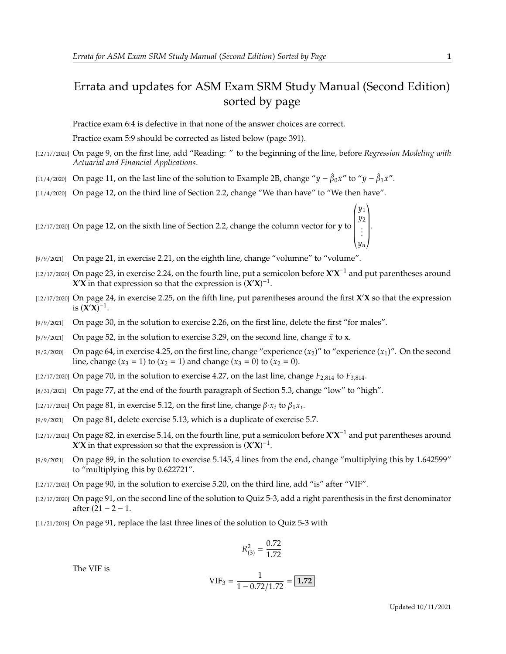## Errata and updates for ASM Exam SRM Study Manual (Second Edition) sorted by page

Practice exam 6:4 is defective in that none of the answer choices are correct.

Practice exam 5:9 should be corrected as listed below (page 391).

- [12/17/2020] On page 9, on the first line, add "Reading: " to the beginning of the line, before *Regression Modeling with Actuarial and Financial Applications*.
- [11/4/2020] On page 11, on the last line of the solution to Example 2B, change " $\bar{y} \hat{\beta}_0 \bar{x}$ " to " $\bar{y} \hat{\beta}_1 \bar{x}$ ".
- [11/4/2020] On page 12, on the third line of Section 2.2, change "We than have" to "We then have".

[12/17/2020] On page 12, on the sixth line of Section 2.2, change the column vector for **y** to  $\overline{\phantom{0}}$ y1<br>110 y2<br>. . . .  $\overline{\phantom{a}}$  $\begin{bmatrix} \frac{1}{2} & \frac{1}{2} \\ \frac{1}{2} & \frac{1}{2} \\ \frac{1}{2} & \frac{1}{2} \end{bmatrix}$ 

- [9/9/2021] On page 21, in exercise 2.21, on the eighth line, change "volumne" to "volume".
- $[12/17/2020]$  On page 23, in exercise 2.24, on the fourth line, put a semicolon before  $X'X^{-1}$  and put parentheses around **X'X** in that expression so that the expression is  $(X'X)^{-1}$ .
- [12/17/2020] On page 24, in exercise 2.25, on the fifth line, put parentheses around the first **X** ′**X** so that the expression is  $(\mathbf{X}'\mathbf{X})^{-1}$ .
- [9/9/2021] On page 30, in the solution to exercise 2.26, on the first line, delete the first "for males".
- [9/9/2021] On page 52, in the solution to exercise 3.29, on the second line, change  $\bar{x}$  to **x**.
- [9/2/2020] On page 64, in exercise 4.25, on the first line, change "experience  $(x_2)$ " to "experience  $(x_1)$ ". On the second line, change  $(x_3 = 1)$  to  $(x_2 = 1)$  and change  $(x_3 = 0)$  to  $(x_2 = 0)$ .
- [12/17/2020] On page 70, in the solution to exercise 4.27, on the last line, change  $F_{2,814}$  to  $F_{3,814}$ .
- [8/31/2021] On page 77, at the end of the fourth paragraph of Section 5.3, change "low" to "high".
- [12/17/2020] On page 81, in exercise 5.12, on the first line, change  $\beta$   $\alpha_i$  to  $\beta_1 x_i$ .
- [9/9/2021] On page 81, delete exercise 5.13, which is a duplicate of exercise 5.7.
- $[12/17/2020]$  On page 82, in exercise 5.14, on the fourth line, put a semicolon before  $X'X^{-1}$  and put parentheses around **X'X** in that expression so that the expression is  $(X'X)^{-1}$ .
- [9/9/2021] On page 89, in the solution to exercise 5.145, 4 lines from the end, change "multiplying this by 1.642599" to "multiplying this by 0.622721".
- [12/17/2020] On page 90, in the solution to exercise 5.20, on the third line, add "is" after "VIF".
- [12/17/2020] On page 91, on the second line of the solution to Quiz 5-3, add a right parenthesis in the first denominator after  $(21 - 2 - 1)$ .
- [11/21/2019] On page 91, replace the last three lines of the solution to Quiz 5-3 with

$$
R_{(3)}^2 = \frac{0.72}{1.72}
$$

The VIF is

$$
VIF_3 = \frac{1}{1 - 0.72/1.72} = 1.72
$$

 $^{\prime}$ 

.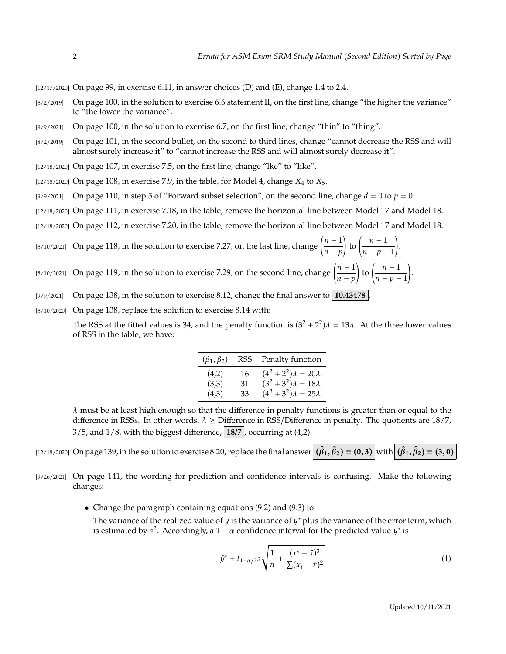$[12/17/2020]$  On page 99, in exercise 6.11, in answer choices (D) and (E), change 1.4 to 2.4.

- $[8/2/2019]$  On page 100, in the solution to exercise 6.6 statement II, on the first line, change "the higher the variance" to "the lower the variance".
- [9/9/2021] On page 100, in the solution to exercise 6.7, on the first line, change "thin" to "thing".
- [8/2/2019] On page 101, in the second bullet, on the second to third lines, change "cannot decrease the RSS and will almost surely increase it" to "cannot increase the RSS and will almost surely decrease it".

[12/18/2020] On page 107, in exercise 7.5, on the first line, change "lke" to "like".

- [12/18/2020] On page 108, in exercise 7.9, in the table, for Model 4, change  $X_4$  to  $X_5$ .
- [9/9/2021] On page 110, in step 5 of "Forward subset selection", on the second line, change  $d = 0$  to  $p = 0$ .
- [12/18/2020] On page 111, in exercise 7.18, in the table, remove the horizontal line between Model 17 and Model 18.
- [12/18/2020] On page 112, in exercise 7.20, in the table, remove the horizontal line between Model 17 and Model 18.

[8/10/2021] On page 118, in the solution to exercise 7.27, on the last line, change  $\left(\frac{n-1}{n}\right)$  $\frac{n-p}{p}$  $\left(\frac{n-1}{n}\right)$  $\frac{n-p-1}{p-1}$ .

- [8/10/2021] On page 119, in the solution to exercise 7.29, on the second line, change  $\left(\frac{n-1}{n}\right)$  $\frac{n-p}{p}$ to  $\left(\frac{n-1}{n}\right)$  $\overline{n-p-1}$
- [9/9/2021] On page 138, in the solution to exercise 8.12, change the final answer to **10.43478** .
- [8/10/2020] On page 138, replace the solution to exercise 8.14 with:

The RSS at the fitted values is 34, and the penalty function is  $(3^2 + 2^2)\lambda = 13\lambda$ . At the three lower values of RSS in the table, we have:

| $(\beta_1,\beta_2)$ | RSS | Penalty function               |
|---------------------|-----|--------------------------------|
| (4,2)               | 16  | $(4^2+2^2)\lambda = 20\lambda$ |
| (3,3)               | 31  | $(3^2+3^2)\lambda = 18\lambda$ |
| (4,3)               | 33  | $(4^2+3^2)\lambda = 25\lambda$ |

 $\lambda$  must be at least high enough so that the difference in penalty functions is greater than or equal to the difference in RSSs. In other words,  $\lambda \geq$  Difference in RSS/Difference in penalty. The quotients are 18/7,  $3/5$ , and  $1/8$ , with the biggest difference,  $18/7$ , occurring at  $(4,2)$ .

 $\text{(12/18/2020)}$  On page 139, in the solution to exercise 8.20, replace the final answer  $(\hat{\beta}_1, \hat{\beta}_2) = (0, 3)$  with  $(\hat{\beta}_1, \hat{\beta}_2) = (3, 0)$ 

- [9/26/2021] On page 141, the wording for prediction and confidence intervals is confusing. Make the following changes:
	- Change the paragraph containing equations (9.2) and (9.3) to

The variance of the realized value of y is the variance of y<sup>\*</sup> plus the variance of the error term, which is estimated by  $s^2$ . Accordingly a  $1 - \alpha$  confidence interval for the predicted value  $y^*$  is is estimated by  $s^2$ . Accordingly, a  $1 - \alpha$  confidence interval for the predicted value  $y^*$  is

$$
\hat{y}^* \pm t_{1-\alpha/2} s \sqrt{\frac{1}{n} + \frac{(x^* - \bar{x})^2}{\sum (x_i - \bar{x})^2}}
$$
(1)

.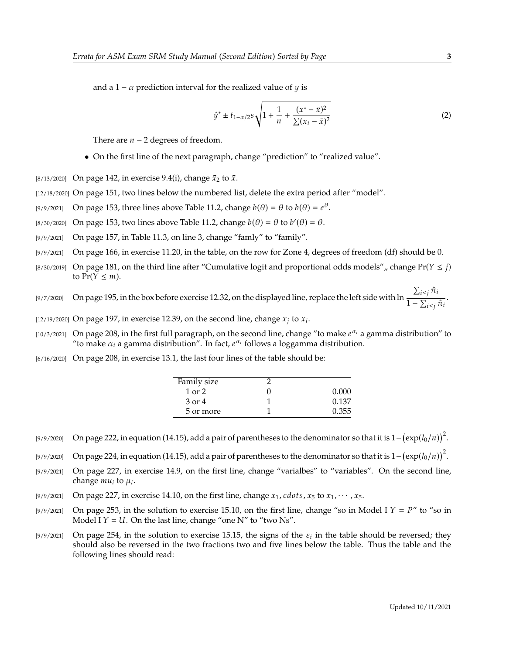and a 1 –  $\alpha$  prediction interval for the realized value of  $\gamma$  is

$$
\hat{y}^* \pm t_{1-\alpha/2} s \sqrt{1 + \frac{1}{n} + \frac{(x^* - \bar{x})^2}{\sum (x_i - \bar{x})^2}}
$$
(2)

There are  $n - 2$  degrees of freedom.

- On the first line of the next paragraph, change "prediction" to "realized value".
- [8/13/2020] On page 142, in exercise 9.4(i), change  $\bar{x}_2$  to  $\bar{x}$ .
- [12/18/2020] On page 151, two lines below the numbered list, delete the extra period after "model".
- [9/9/2021] On page 153, three lines above Table 11.2, change  $b(\theta) = \theta$  to  $b(\theta) = e^{\theta}$ .
- [8/30/2020] On page 153, two lines above Table 11.2, change  $b(\theta) = \theta$  to  $b'(\theta) = \theta$ .
- $[9/9/2021]$  On page 157, in Table 11.3, on line 3, change "famly" to "family".
- [9/9/2021] On page 166, in exercise 11.20, in the table, on the row for Zone 4, degrees of freedom (df) should be 0.
- [8/30/2019] On page 181, on the third line after "Cumulative logit and proportional odds models", change  $Pr(Y \leq j)$ to  $Pr(Y \leq m)$ .
- [9/7/2020] On page 195, in the box before exercise 12.32, on the displayed line, replace the left side with ln  $\frac{\sum_{i \leq j} \hat{\pi}_i}{\sum_{i \leq j} \hat{\pi}_i}$  $\frac{1}{1-\sum_{i\leq j}\hat{\pi}_i}$ .

[12/19/2020] On page 197, in exercise 12.39, on the second line, change  $x_j$  to  $x_i$ .

- [10/3/2021] On page 208, in the first full paragraph, on the second line, change "to make  $e^{\alpha_i}$  a gamma distribution" to "to make  $\alpha_i$  a gamma distribution". In fact  $e^{\alpha_i}$  follows a loggamma distribution "to make  $\alpha_i$  a gamma distribution". In fact,  $e^{\alpha_i}$  follows a loggamma distribution.
- [6/16/2020] On page 208, in exercise 13.1, the last four lines of the table should be:

| Family size |       |
|-------------|-------|
| $1$ or $2$  | 0.000 |
| 3 or 4      | 0.137 |
| 5 or more   | 0.355 |

[9/9/2020] On page 222, in equation (14.15), add a pair of parentheses to the denominator so that it is  $1-(\exp(l_0/n))^2$ .

[9/9/2020] On page 224, in equation (14.15), add a pair of parentheses to the denominator so that it is  $1-(\exp(l_0/n))^2$ .

- [9/9/2021] On page 227, in exercise 14.9, on the first line, change "varialbes" to "variables". On the second line, change  $mu_i$  to  $\mu_i$ .
- [9/9/2021] On page 227, in exercise 14.10, on the first line, change  $x_1$ , *cdots*,  $x_5$  to  $x_1$ ,  $\cdots$ ,  $x_5$ .<br>[9/9/2021] On page 253, in the solution to exercise 15.10, on the first line, change "so in M
- On page 253, in the solution to exercise 15.10, on the first line, change "so in Model I  $Y = P''$  to "so in Model I  $Y = U$ . On the last line, change "one N" to "two Ns".
- [9/9/2021] On page 254, in the solution to exercise 15.15, the signs of the  $\varepsilon_i$  in the table should be reversed; they should also be reversed in the two fractions two and five lines below the table. Thus the table and should also be reversed in the two fractions two and five lines below the table. Thus the table and the following lines should read: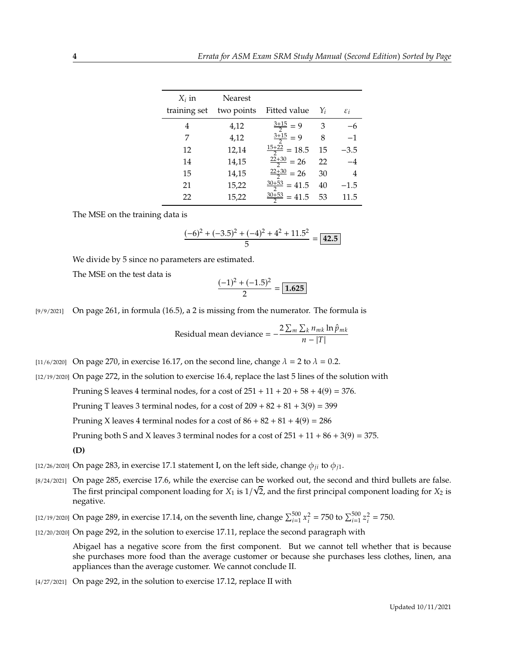| $X_i$ in<br>training set | <b>Nearest</b><br>two points | Fitted value             | Yi | $\varepsilon_i$ |
|--------------------------|------------------------------|--------------------------|----|-----------------|
| 4                        | 4,12                         | $\frac{3+15}{2} = 9$     | 3  | -6              |
| 7                        | 4,12                         | $\frac{3+15}{2} = 9$     | 8  | $-1$            |
| 12                       | 12,14                        | $\frac{15+22}{2} = 18.5$ | 15 | $-3.5$          |
| 14                       | 14,15                        | $\frac{22+30}{2}$ = 26   | 22 | $-4$            |
| 15                       | 14,15                        | $\frac{22+30}{2}$ = 26   | 30 | 4               |
| 21                       | 15,22                        | $\frac{30+53}{2}$ = 41.5 | 40 | $-1.5$          |
| 22                       | 15,22                        | $\frac{30+53}{2}$ = 41.5 | 53 | 11.5            |

The MSE on the training data is

$$
\frac{(-6)^2 + (-3.5)^2 + (-4)^2 + 4^2 + 11.5^2}{5} = \boxed{42.5}
$$

We divide by 5 since no parameters are estimated.

The MSE on the test data is

$$
\frac{(-1)^2 + (-1.5)^2}{2} = 1.625
$$

[9/9/2021] On page 261, in formula (16.5), a 2 is missing from the numerator. The formula is

Residual mean deviance = 
$$
-\frac{2\sum_{m}\sum_{k}n_{mk}\ln\hat{p}_{mk}}{n-|T|}
$$

[11/6/2020] On page 270, in exercise 16.17, on the second line, change  $\lambda = 2$  to  $\lambda = 0.2$ .

[12/19/2020] On page 272, in the solution to exercise 16.4, replace the last 5 lines of the solution with

Pruning S leaves 4 terminal nodes, for a cost of  $251 + 11 + 20 + 58 + 4(9) = 376$ .

Pruning T leaves 3 terminal nodes, for a cost of  $209 + 82 + 81 + 3(9) = 399$ 

Pruning X leaves 4 terminal nodes for a cost of  $86 + 82 + 81 + 4(9) = 286$ 

Pruning both S and X leaves 3 terminal nodes for a cost of  $251 + 11 + 86 + 3(9) = 375$ .

```
(D)
```
[12/26/2020] On page 283, in exercise 17.1 statement I, on the left side, change  $\phi_{ii}$  to  $\phi_{i1}$ .

[8/24/2021] On page 285, exercise 17.6, while the exercise can be worked out, the second and third bullets are false. The first principal component loading for  $X_1$  is  $1/\sqrt{2}$ , and the first principal component loading for  $X_2$  is negative negative.

[12/19/2020] On page 289, in exercise 17.14, on the seventh line, change  $\sum_{i=1}^{500}$  x  $\sum_{i=1}^{2}$  = 750 to  $\sum_{i=1}^{500} z$  $2\frac{2}{i} = 750.$ 

[12/20/2020] On page 292, in the solution to exercise 17.11, replace the second paragraph with

Abigael has a negative score from the first component. But we cannot tell whether that is because she purchases more food than the average customer or because she purchases less clothes, linen, ana appliances than the average customer. We cannot conclude II.

[4/27/2021] On page 292, in the solution to exercise 17.12, replace II with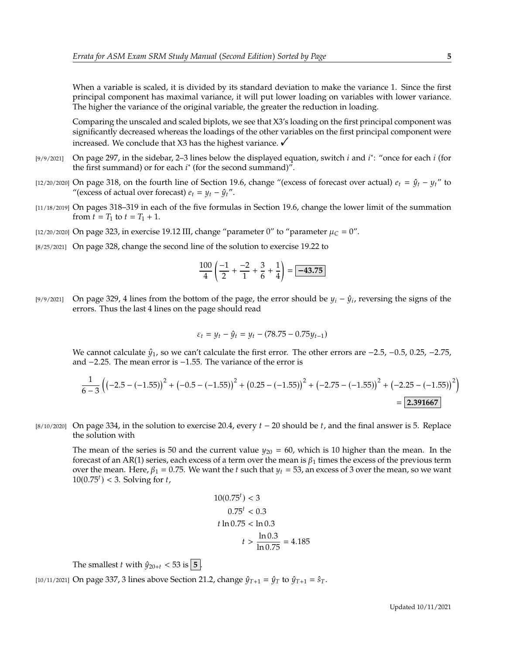When a variable is scaled, it is divided by its standard deviation to make the variance 1. Since the first principal component has maximal variance, it will put lower loading on variables with lower variance. The higher the variance of the original variable, the greater the reduction in loading.

Comparing the unscaled and scaled biplots, we see that X3's loading on the first principal component was significantly decreased whereas the loadings of the other variables on the first principal component were increased. We conclude that X3 has the highest variance.  $\checkmark$ 

- [9/9/2021] On page 297, in the sidebar, 2–3 lines below the displayed equation, switch *i* and *i*<sup>\*</sup>: "once for each *i* (for the first summand) or for each *i*<sup>\*</sup> (for the second summand)" the first summand) or for each  $i^*$  (for the second summand)".
- [12/20/2020] On page 318, on the fourth line of Section 19.6, change "(excess of forecast over actual)  $e_t = \hat{y}_t y_t$ " to "(excess of actual over forecast)  $e_t = y_t - \hat{y}_t$ ".
- [11/18/2019] On pages 318–319 in each of the five formulas in Section 19.6, change the lower limit of the summation from  $t = T_1$  to  $t = T_1 + 1$ .
- [12/20/2020] On page 323, in exercise 19.12 III, change "parameter 0" to "parameter  $\mu_C = 0$ ".
- [8/25/2021] On page 328, change the second line of the solution to exercise 19.22 to

$$
\frac{100}{4} \left( \frac{-1}{2} + \frac{-2}{1} + \frac{3}{6} + \frac{1}{4} \right) = \boxed{-43.75}
$$

[9/9/2021] On page 329, 4 lines from the bottom of the page, the error should be  $y_i - \hat{y}_i$ , reversing the signs of the errors. Thus the last 4 lines on the page should read errors. Thus the last 4 lines on the page should read

$$
\varepsilon_t = y_t - \hat{y}_t = y_t - (78.75 - 0.75y_{t-1})
$$

We cannot calculate  $\hat{y}_1$ , so we can't calculate the first error. The other errors are  $-2.5$ ,  $-0.5$ , 0.25,  $-2.75$ , and <sup>−</sup>2.25. The mean error is <sup>−</sup>1.55. The variance of the error is

$$
\frac{1}{6-3}\left(\left(-2.5 - \left(-1.55\right)\right)^2 + \left(-0.5 - \left(-1.55\right)\right)^2 + \left(0.25 - \left(-1.55\right)\right)^2 + \left(-2.75 - \left(-1.55\right)\right)^2 + \left(-2.25 - \left(-1.55\right)\right)^2\right)
$$
\n
$$
= 2.391667
$$

[8/10/2020] On page 334, in the solution to exercise 20.4, every  $t - 20$  should be t, and the final answer is 5. Replace the solution with

The mean of the series is 50 and the current value  $y_{20} = 60$ , which is 10 higher than the mean. In the forecast of an AR(1) series, each excess of a term over the mean is  $\beta_1$  times the excess of the previous term over the mean. Here,  $\beta_1 = 0.75$ . We want the t such that  $y_t = 53$ , an excess of 3 over the mean, so we want  $10(0.75<sup>t</sup>) < 3$ . Solving for *t*,

$$
10(0.75t) < 3
$$
  
0.75<sup>t</sup> < 0.3  

$$
t \ln 0.75 < \ln 0.3
$$

$$
t > \frac{\ln 0.3}{\ln 0.75} = 4.185
$$

The smallest *t* with  $\hat{y}_{20+t} < 53$  is  $\boxed{5}$ .

[10/11/2021] On page 337, 3 lines above Section 21.2, change  $\hat{y}_{T+1} = \hat{y}_T$  to  $\hat{y}_{T+1} = \hat{s}_T$ .